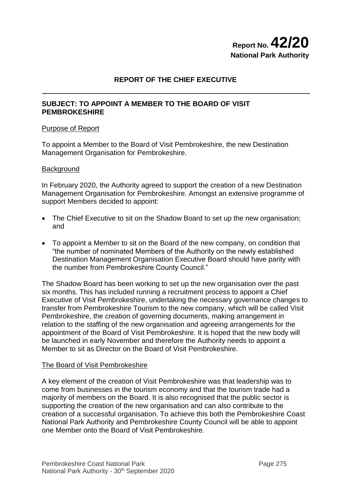# **Report No.42/20 National Park Authority**

# **REPORT OF THE CHIEF EXECUTIVE**

## **SUBJECT: TO APPOINT A MEMBER TO THE BOARD OF VISIT PEMBROKESHIRE**

## Purpose of Report

To appoint a Member to the Board of Visit Pembrokeshire, the new Destination Management Organisation for Pembrokeshire.

## **Background**

In February 2020, the Authority agreed to support the creation of a new Destination Management Organisation for Pembrokeshire. Amongst an extensive programme of support Members decided to appoint:

- The Chief Executive to sit on the Shadow Board to set up the new organisation; and
- To appoint a Member to sit on the Board of the new company, on condition that "the number of nominated Members of the Authority on the newly established Destination Management Organisation Executive Board should have parity with the number from Pembrokeshire County Council."

The Shadow Board has been working to set up the new organisation over the past six months. This has included running a recruitment process to appoint a Chief Executive of Visit Pembrokeshire, undertaking the necessary governance changes to transfer from Pembrokeshire Tourism to the new company, which will be called Visit Pembrokeshire, the creation of governing documents, making arrangement in relation to the staffing of the new organisation and agreeing arrangements for the appointment of the Board of Visit Pembrokeshire. It is hoped that the new body will be launched in early November and therefore the Authority needs to appoint a Member to sit as Director on the Board of Visit Pembrokeshire.

#### The Board of Visit Pembrokeshire

A key element of the creation of Visit Pembrokeshire was that leadership was to come from businesses in the tourism economy and that the tourism trade had a majority of members on the Board. It is also recognised that the public sector is supporting the creation of the new organisation and can also contribute to the creation of a successful organisation. To achieve this both the Pembrokeshire Coast National Park Authority and Pembrokeshire County Council will be able to appoint one Member onto the Board of Visit Pembrokeshire.